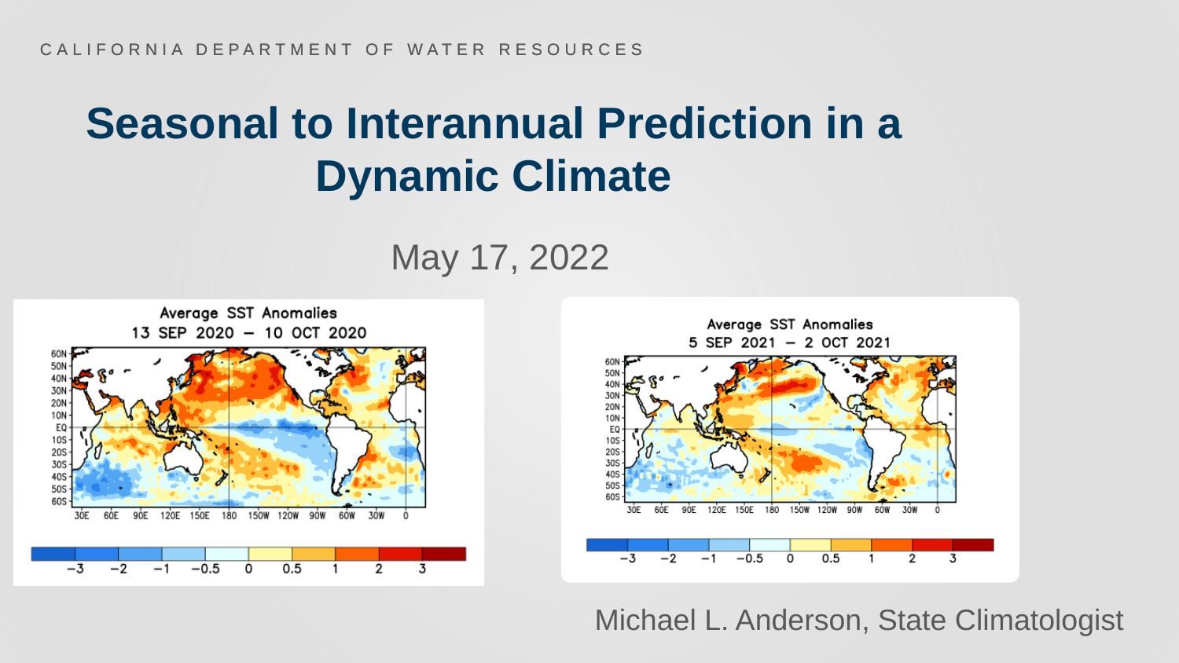May 17, 2022



Michael L. Anderson, State Climatologist

### **Seasonal to Interannual Prediction in a Dynamic Climate**

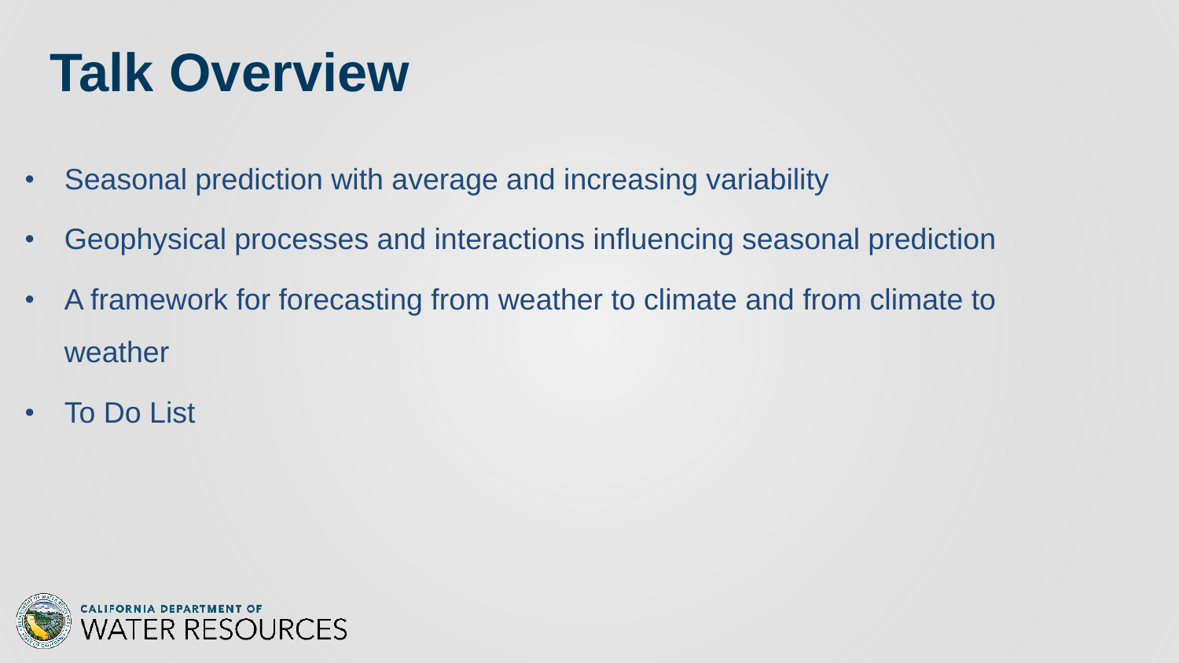## **Talk Overview**

- Seasonal prediction with average and increasing variability
- Geophysical processes and interactions influencing seasonal prediction
- A framework for forecasting from weather to climate and from climate to weather
- To Do List

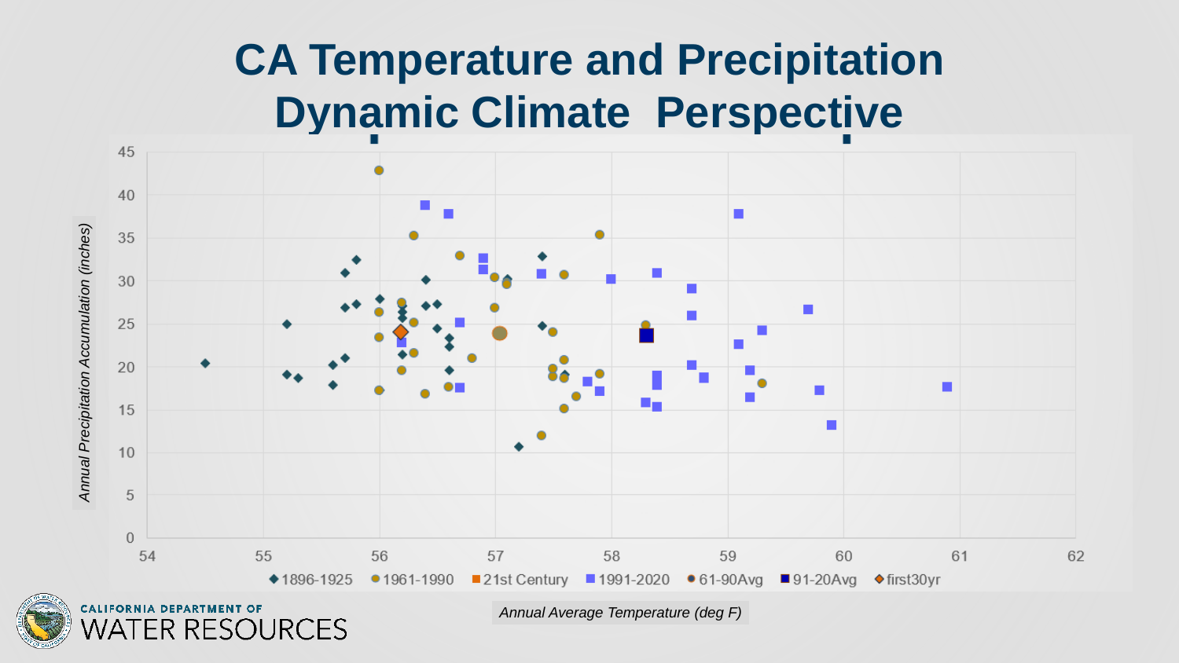### **CA Temperature and Precipitation Dynamic Climate Perspective**





ER RESOURCES

*Annual Average Temperature (deg F)*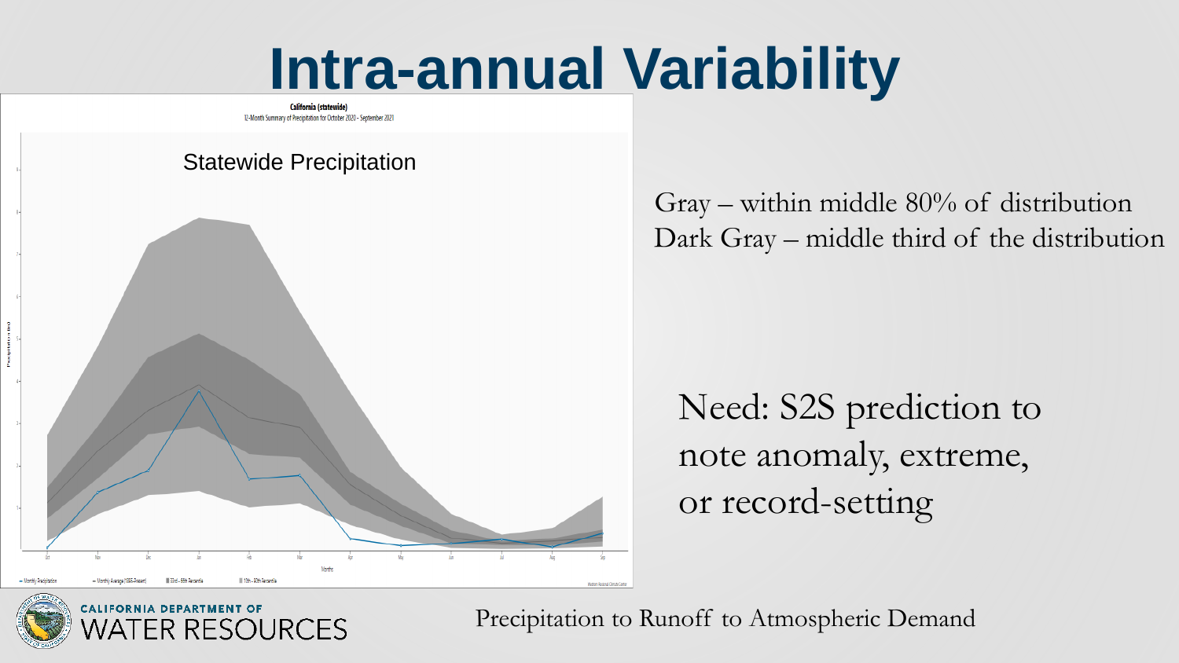#### Gray – within middle 80% of distribution Dark Gray – middle third of the distribution





**CALIFORNIA DEPARTMENT OF** ER RESOURCES

Precipitation to Runoff to Atmospheric Demand

## Need: S2S prediction to note anomaly, extreme,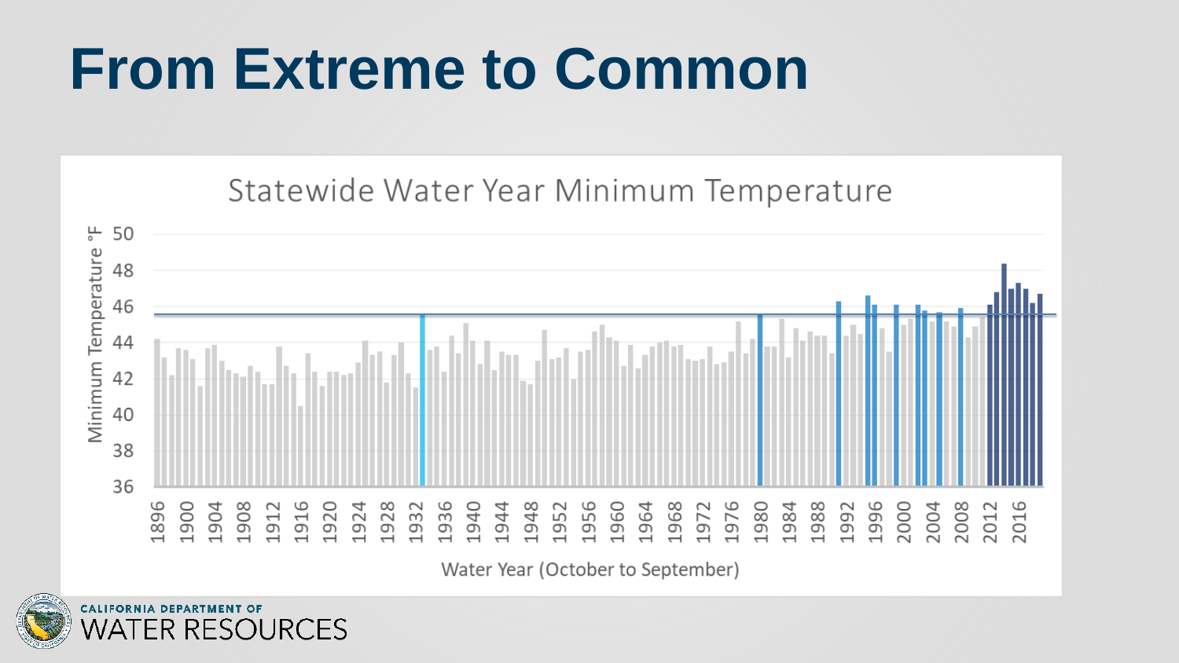## **From Extreme to Common**





Water Year (October to September)



**ER RESOURCES** 

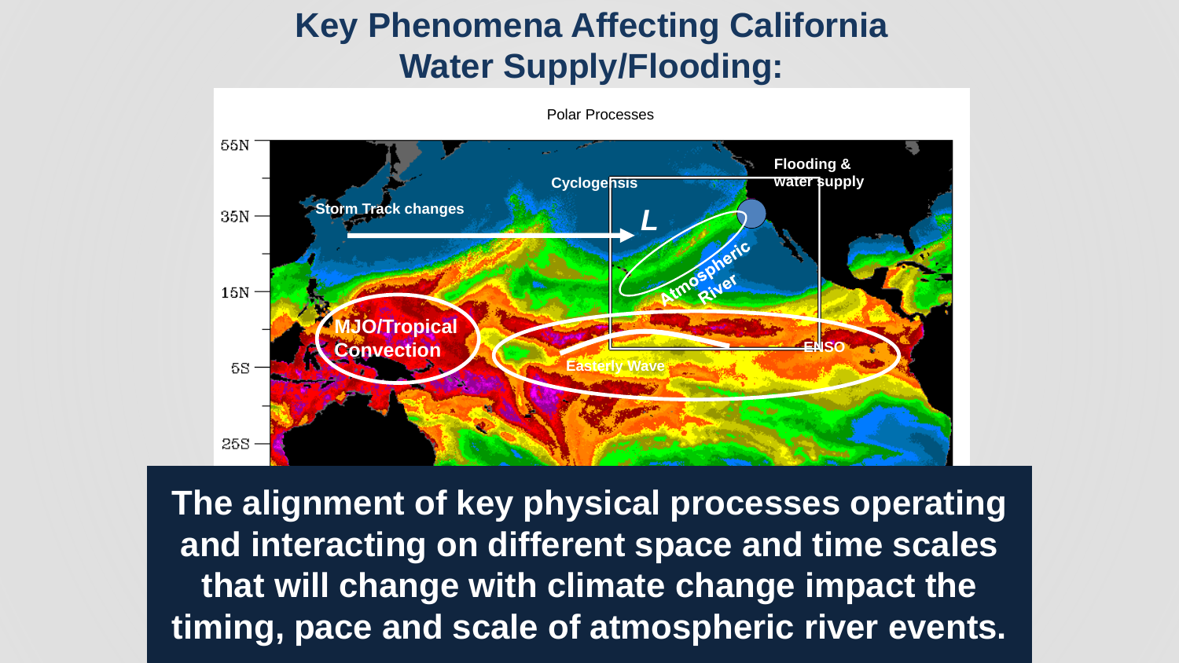#### **Key Phenomena Affecting California Water Supply/Flooding:**



Polar Processes

**The alignment of key physical processes operating and interacting on different space and time scales that will change with climate change impact the timing, pace and scale of atmospheric river events.**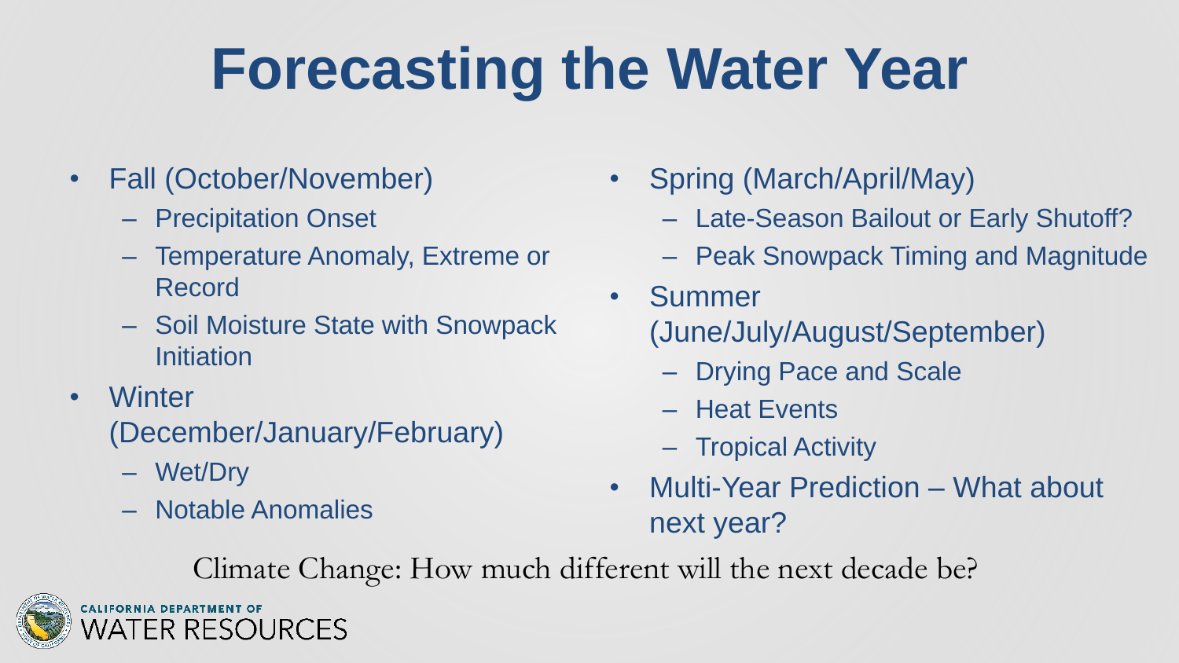## **Forecasting the Water Year**

- Fall (October/November)
	- Precipitation Onset
	- Temperature Anomaly, Extreme or Record
	- Soil Moisture State with Snowpack Initiation
- Winter

(December/January/February)

- Wet/Dry
- Notable Anomalies

ER RESOURCES

- Spring (March/April/May)
	- Late-Season Bailout or Early Shutoff?
	- Peak Snowpack Timing and Magnitude
- Summer (June/July/August/September)
	- Drying Pace and Scale
	- Heat Events
	- Tropical Activity
- Multi-Year Prediction What about next year?

Climate Change: How much different will the next decade be?

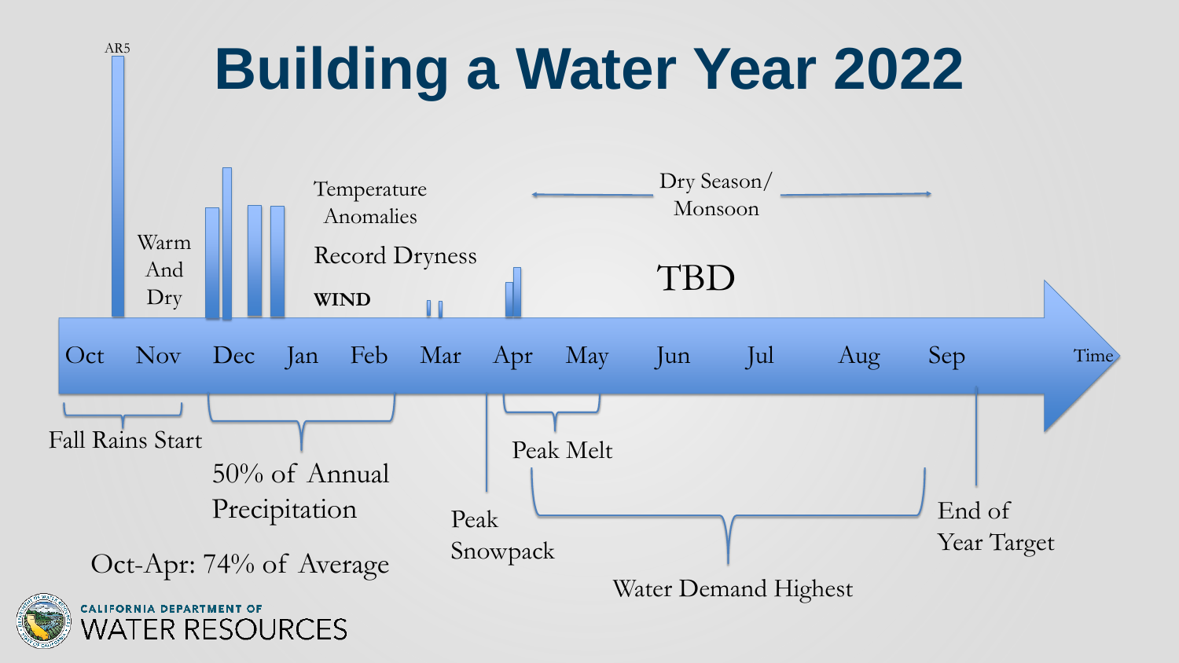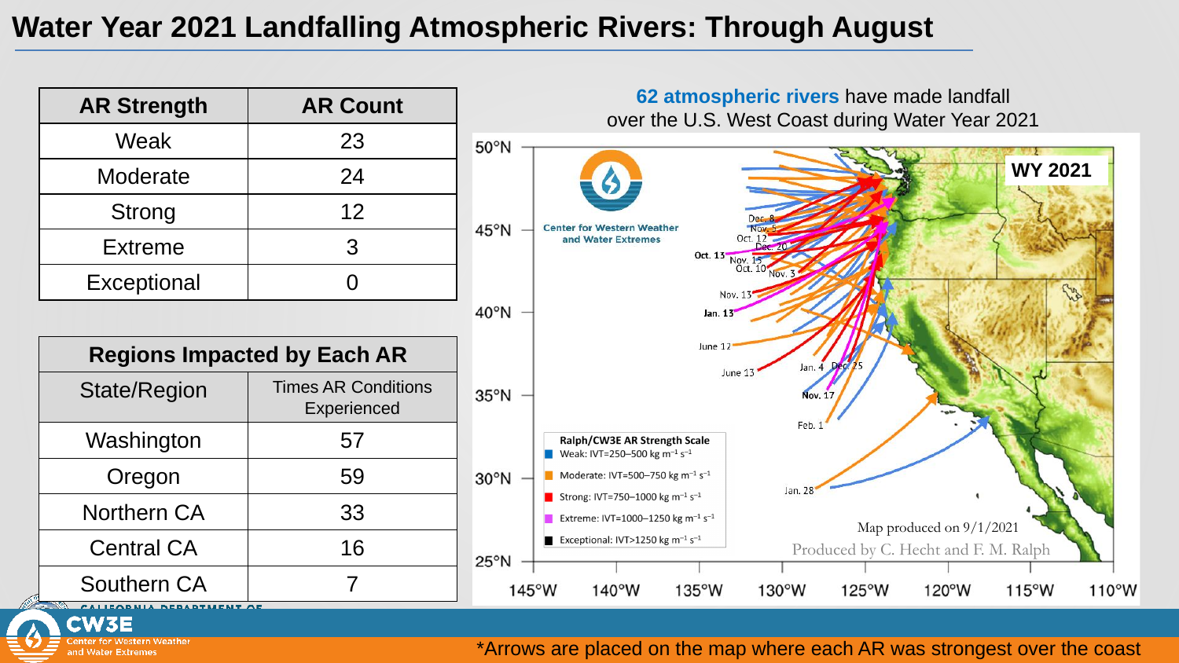#### **Water Year 2021 Landfalling Atmospheric Rivers: Through August**



nter for Western Weather and Water Extremes

#### \*Arrows are placed on the map where each AR was strongest over the coast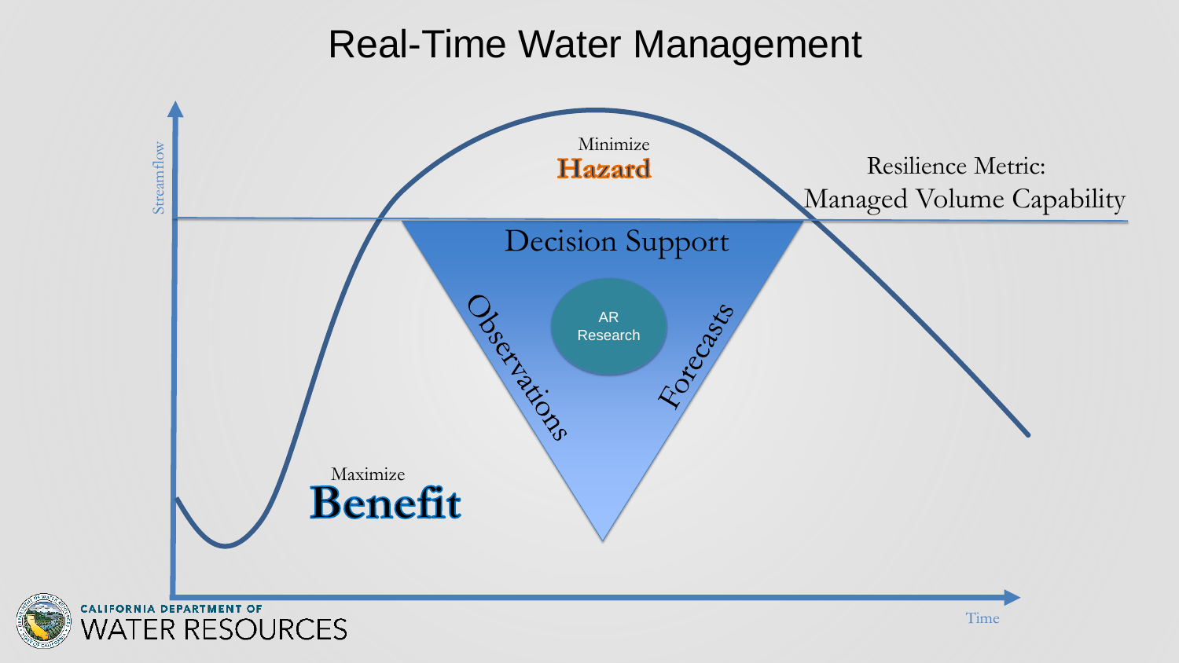### Real-Time Water Management







#### Managed Volume Capability Resilience Metric: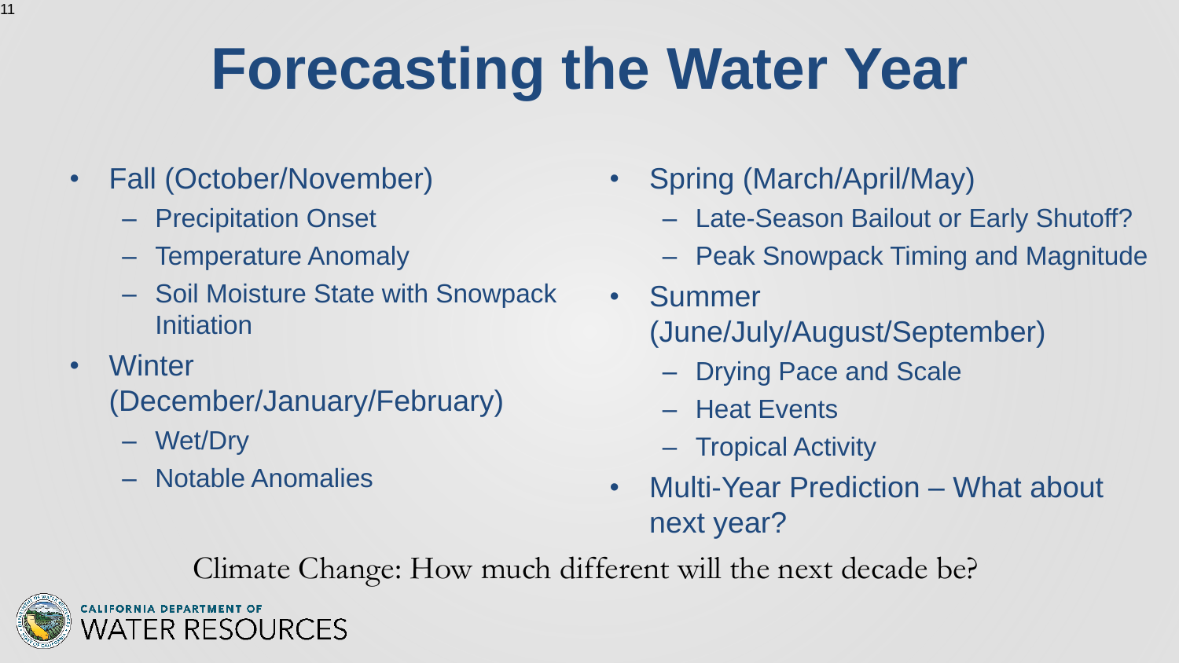# **Forecasting the Water Year**

- Fall (October/November) – Precipitation Onset – Temperature Anomaly – Soil Moisture State with Snowpack Initiation • Winter (December/January/February) – Wet/Dry – Notable Anomalies
- Spring (March/April/May)
	- Late-Season Bailout or Early Shutoff?
	- Peak Snowpack Timing and Magnitude
	- Summer (June/July/August/September)
		- Drying Pace and Scale
		- Heat Events
		- Tropical Activity
	- Multi-Year Prediction What about next year?

Climate Change: How much different will the next decade be?



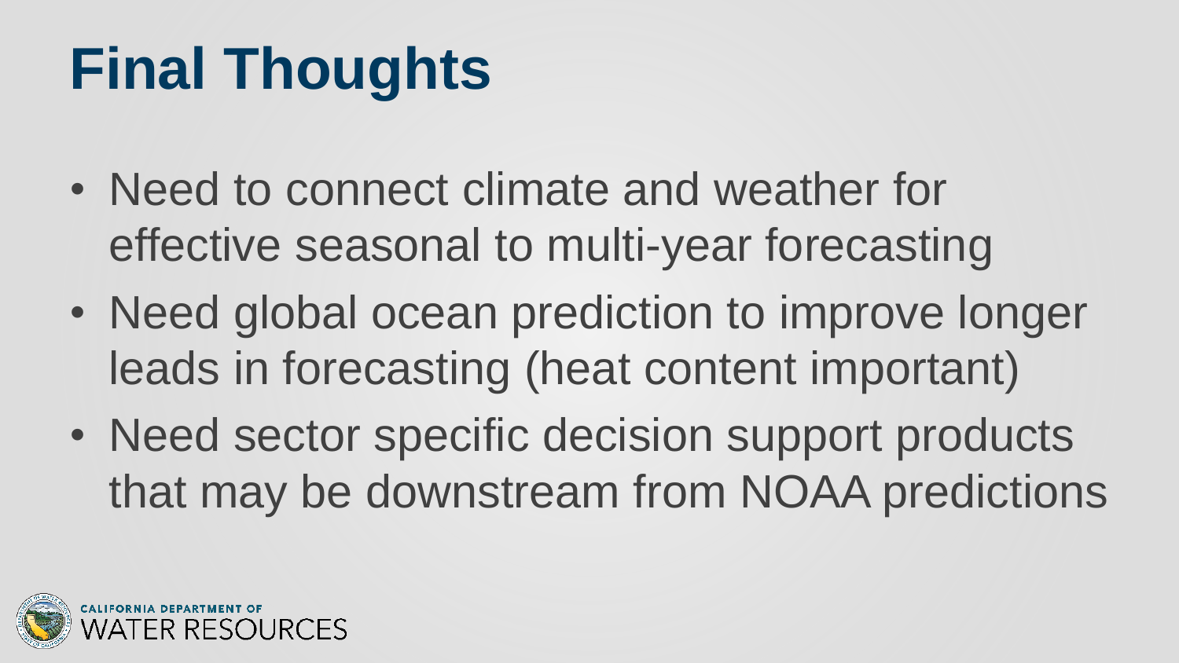# **Final Thoughts**

- Need to connect climate and weather for effective seasonal to multi-year forecasting
- Need global ocean prediction to improve longer leads in forecasting (heat content important)
- Need sector specific decision support products that may be downstream from NOAA predictions